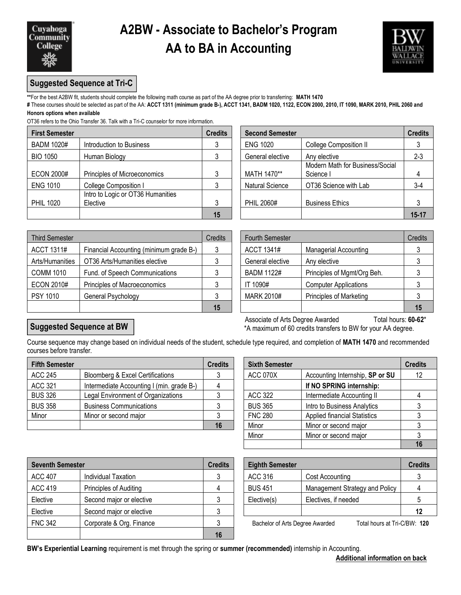

## **A2BW - Associate to Bachelor's Program AA to BA in Accounting**



### **Suggested Sequence at Tri-C**

**\*\***For the best A2BW fit, students should complete the following math course as part of the AA degree prior to transferring: **MATH 1470**

**#** These courses should be selected as part of the AA: **ACCT 1311 (minimum grade B-), ACCT 1341, BADM 1020, 1122, ECON 2000, 2010, IT 1090, MARK 2010, PHIL 2060 and Honors options when available**

OT36 refers to the Ohio Transfer 36. Talk with a Tri-C counselor for more information.

| <b>First Semester</b> |                                               | <b>Credits</b> | <b>Second Semester</b> |                                              | <b>Credits</b> |
|-----------------------|-----------------------------------------------|----------------|------------------------|----------------------------------------------|----------------|
| <b>BADM 1020#</b>     | Introduction to Business                      |                | <b>ENG 1020</b>        | <b>College Composition II</b>                |                |
| <b>BIO 1050</b>       | Human Biology                                 |                | General elective       | Any elective                                 | $2 - 3$        |
| <b>ECON 2000#</b>     | Principles of Microeconomics                  |                | MATH 1470**            | Modern Math for Business/Social<br>Science I |                |
| <b>ENG 1010</b>       | College Composition I                         |                | <b>Natural Science</b> | OT36 Science with Lab                        | $3-4$          |
| <b>PHIL 1020</b>      | Intro to Logic or OT36 Humanities<br>Elective |                | PHIL 2060#             | <b>Business Ethics</b>                       |                |
|                       |                                               | 15             |                        |                                              | $15 - 17$      |

|                                               | <b>Credits</b> | <b>Second Semester</b> | <b>Credits</b>                               |           |
|-----------------------------------------------|----------------|------------------------|----------------------------------------------|-----------|
| Introduction to Business                      |                | <b>ENG 1020</b>        | <b>College Composition II</b>                |           |
| Human Biology                                 |                | General elective       | Any elective                                 | $2 - 3$   |
| Principles of Microeconomics                  | 3              | MATH 1470**            | Modern Math for Business/Social<br>Science I |           |
| College Composition I                         |                | <b>Natural Science</b> | OT36 Science with Lab                        | $3-4$     |
| Intro to Logic or OT36 Humanities<br>Elective | 3              | PHIL 2060#             | <b>Business Ethics</b>                       |           |
|                                               | 15             |                        |                                              | $15 - 17$ |

| <b>Third Semester</b> |                                         | Credits | <b>Fourth Semester</b> |                              | Credits |
|-----------------------|-----------------------------------------|---------|------------------------|------------------------------|---------|
| ACCT 1311#            | Financial Accounting (minimum grade B-) |         | ACCT 1341#             | <b>Managerial Accounting</b> |         |
| Arts/Humanities       | OT36 Arts/Humanities elective           |         | General elective       | Any elective                 |         |
| <b>COMM 1010</b>      | Fund. of Speech Communications          |         | BADM 1122#             | Principles of Mgmt/Org Beh.  |         |
| <b>ECON 2010#</b>     | Principles of Macroeconomics            |         | IT 1090#               | <b>Computer Applications</b> |         |
| <b>PSY 1010</b>       | General Psychology                      |         | MARK 2010#             | Principles of Marketing      |         |
|                       |                                         | 15      |                        |                              | 15      |

| edits | <b>Fourth Semester</b> |                                | Credits |
|-------|------------------------|--------------------------------|---------|
| 3     | <b>ACCT 1341#</b>      | Managerial Accounting          |         |
| 3     | General elective       | Any elective                   |         |
| 3     | <b>BADM 1122#</b>      | Principles of Mgmt/Org Beh.    |         |
| 3     | IT 1090#               | <b>Computer Applications</b>   |         |
| 3     | <b>MARK 2010#</b>      | <b>Principles of Marketing</b> |         |
| 15    |                        |                                | 15      |

### **Suggested Sequence at BW**

l

Associate of Arts Degree Awarded Total hours: 60-62\* \*A maximum of 60 credits transfers to BW for your AA degree.

Course sequence may change based on individual needs of the student, schedule type required, and completion of **MATH 1470** and recommended courses before transfer.

| <b>Fifth Semester</b> |                                           | <b>Credits</b> | <b>Sixth Semester</b> |                                     | <b>Credits</b>    |
|-----------------------|-------------------------------------------|----------------|-----------------------|-------------------------------------|-------------------|
| ACC 245               | Bloomberg & Excel Certifications          |                | <b>ACC 070X</b>       | Accounting Internship, SP or SU     | $12 \overline{ }$ |
| <b>ACC 321</b>        | Intermediate Accounting I (min. grade B-) |                |                       | If NO SPRING internship:            |                   |
| <b>BUS 326</b>        | Legal Environment of Organizations        |                | ACC 322               | Intermediate Accounting II          |                   |
| <b>BUS 358</b>        | <b>Business Communications</b>            |                | <b>BUS 365</b>        | Intro to Business Analytics         |                   |
| Minor                 | Minor or second major                     |                | <b>FNC 280</b>        | <b>Applied financial Statistics</b> |                   |
|                       |                                           | 16             | Minor                 | Minor or second major               |                   |

| edits          | <b>Sixth Semester</b> |                                     | <b>Credits</b> |
|----------------|-----------------------|-------------------------------------|----------------|
| 3              | <b>ACC 070X</b>       | Accounting Internship, SP or SU     | 12             |
| $\overline{4}$ |                       | If NO SPRING internship:            |                |
| 3              | <b>ACC 322</b>        | Intermediate Accounting II          |                |
| 3              | <b>BUS 365</b>        | Intro to Business Analytics         |                |
| $\mathfrak{Z}$ | <b>FNC 280</b>        | <b>Applied financial Statistics</b> |                |
| 16             | Minor                 | Minor or second major               |                |
|                | Minor                 | Minor or second major               |                |
|                |                       |                                     |                |

| <b>Seventh Semester</b> |                          | <b>Credits</b> |                | <b>Eighth Semester</b>                                          |  |
|-------------------------|--------------------------|----------------|----------------|-----------------------------------------------------------------|--|
| <b>ACC 407</b>          | Individual Taxation      |                | ACC 316        | Cost Accounting                                                 |  |
| <b>ACC 419</b>          | Principles of Auditing   |                | <b>BUS 451</b> | Management Strategy and Policy                                  |  |
| Elective                | Second major or elective |                | Elective(s)    | Electives, if needed                                            |  |
| Elective                | Second major or elective |                |                |                                                                 |  |
| <b>FNC 342</b>          | Corporate & Org. Finance |                |                | Total hours at Tri-C/BW: 120<br>Bachelor of Arts Degree Awarded |  |
|                         |                          | 16             |                |                                                                 |  |

| <b>Eighth Semester</b> |                                | <b>Credits</b> |
|------------------------|--------------------------------|----------------|
| ACC 316                | Cost Accounting                |                |
| <b>BUS 451</b>         | Management Strategy and Policy |                |
| Elective(s)            | Electives, if needed           |                |
|                        |                                | 12             |

**BW's Experiential Learning** requirement is met through the spring or **summer (recommended)** internship in Accounting.